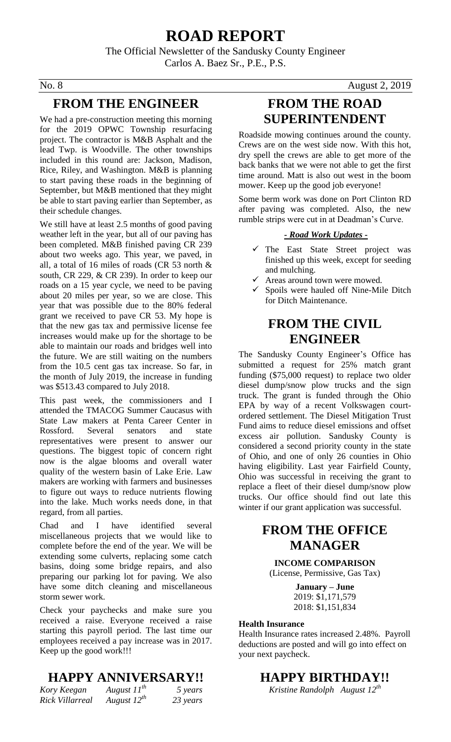## **ROAD REPORT**

The Official Newsletter of the Sandusky County Engineer Carlos A. Baez Sr., P.E., P.S.

#### **FROM THE ENGINEER**

We had a pre-construction meeting this morning for the 2019 OPWC Township resurfacing project. The contractor is M&B Asphalt and the lead Twp. is Woodville. The other townships included in this round are: Jackson, Madison, Rice, Riley, and Washington. M&B is planning to start paving these roads in the beginning of September, but M&B mentioned that they might be able to start paving earlier than September, as their schedule changes.

We still have at least 2.5 months of good paving weather left in the year, but all of our paving has been completed. M&B finished paving CR 239 about two weeks ago. This year, we paved, in all, a total of 16 miles of roads (CR 53 north & south, CR 229, & CR 239). In order to keep our roads on a 15 year cycle, we need to be paving about 20 miles per year, so we are close. This year that was possible due to the 80% federal grant we received to pave CR 53. My hope is that the new gas tax and permissive license fee increases would make up for the shortage to be able to maintain our roads and bridges well into the future. We are still waiting on the numbers from the 10.5 cent gas tax increase. So far, in the month of July 2019, the increase in funding was \$513.43 compared to July 2018.

This past week, the commissioners and I attended the TMACOG Summer Caucasus with State Law makers at Penta Career Center in Rossford. Several senators and state representatives were present to answer our questions. The biggest topic of concern right now is the algae blooms and overall water quality of the western basin of Lake Erie. Law makers are working with farmers and businesses to figure out ways to reduce nutrients flowing into the lake. Much works needs done, in that regard, from all parties.

Chad and I have identified several miscellaneous projects that we would like to complete before the end of the year. We will be extending some culverts, replacing some catch basins, doing some bridge repairs, and also preparing our parking lot for paving. We also have some ditch cleaning and miscellaneous storm sewer work.

Check your paychecks and make sure you received a raise. Everyone received a raise starting this payroll period. The last time our employees received a pay increase was in 2017. Keep up the good work!!!

#### **HAPPY ANNIVERSARY!!**

| Kory Keegan     | August $11^{th}$ | 5 years  |
|-----------------|------------------|----------|
| Rick Villarreal | August $12^{th}$ | 23 years |

No. 8 August 2, 2019

### **FROM THE ROAD SUPERINTENDENT**

Roadside mowing continues around the county. Crews are on the west side now. With this hot, dry spell the crews are able to get more of the back banks that we were not able to get the first time around. Matt is also out west in the boom mower. Keep up the good job everyone!

Some berm work was done on Port Clinton RD after paving was completed. Also, the new rumble strips were cut in at Deadman's Curve.

#### *- Road Work Updates -*

- $\checkmark$  The East State Street project was finished up this week, except for seeding and mulching.
- Areas around town were mowed.
- $\checkmark$  Spoils were hauled off Nine-Mile Ditch for Ditch Maintenance.

### **FROM THE CIVIL ENGINEER**

The Sandusky County Engineer's Office has submitted a request for 25% match grant funding (\$75,000 request) to replace two older diesel dump/snow plow trucks and the sign truck. The grant is funded through the Ohio EPA by way of a recent Volkswagen courtordered settlement. The Diesel Mitigation Trust Fund aims to reduce diesel emissions and offset excess air pollution. Sandusky County is considered a second priority county in the state of Ohio, and one of only 26 counties in Ohio having eligibility. Last year Fairfield County, Ohio was successful in receiving the grant to replace a fleet of their diesel dump/snow plow trucks. Our office should find out late this winter if our grant application was successful.

### **FROM THE OFFICE MANAGER**

**INCOME COMPARISON** (License, Permissive, Gas Tax)

> **January – June** 2019: \$1,171,579 2018: \$1,151,834

#### **Health Insurance**

Health Insurance rates increased 2.48%. Payroll deductions are posted and will go into effect on your next paycheck.

#### **HAPPY BIRTHDAY!!**

*Kristine Randolph August 12th*